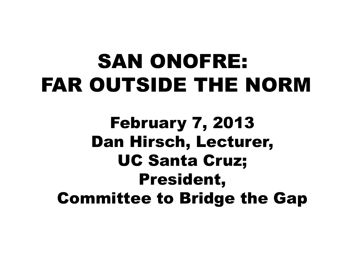# SAN ONOFRE: FAR OUTSIDE THE NORM

February 7, 2013 Dan Hirsch, Lecturer, UC Santa Cruz; President, Committee to Bridge the Gap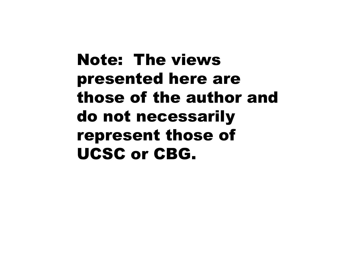Note: The views presented here are those of the author and do not necessarily represent those of UCSC or CBG.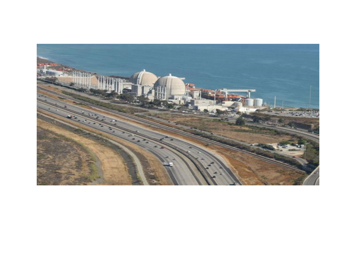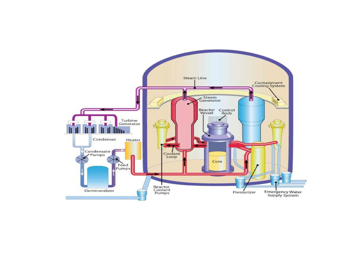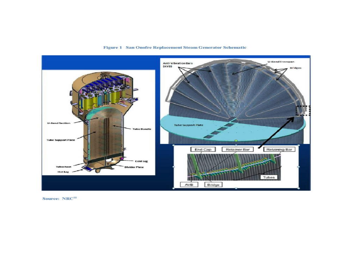

#### Figure 1 San Onofre Replacement Steam Generator Schematic

Source: NRCiii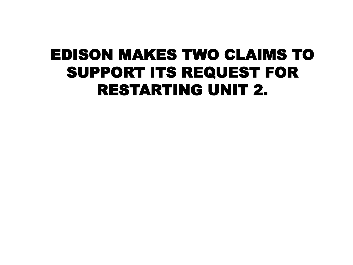#### EDISON MAKES TWO CLAIMS TO SUPPORT ITS REQUEST FOR RESTARTING UNIT 2.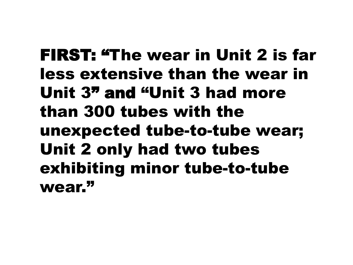FIRST: "The wear in Unit 2 is far less extensive than the wear in Unit 3" and "Unit 3 had more than 300 tubes with the unexpected tube-to-tube wear; Unit 2 only had two tubes exhibiting minor tube-to-tube wear."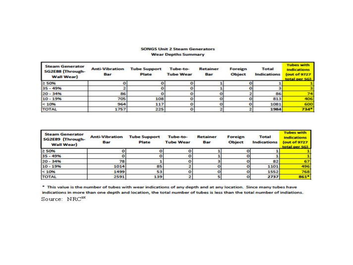#### **SONGS Unit 2 Steam Generators Wear Depths Summary**

| <b>Steam Generator</b><br>SG2E88 (Through-<br><b>Wall Wear</b> | <b>Anti-Vibration</b><br>Bar | <b>Tube Support</b><br>Plate | Tube-to-<br><b>Tube Wear</b> | <b>Retainer</b><br>Bar | Foreign<br>Object | Total<br>Indications | <b>Tubes with</b><br><b>Indications</b><br><b>Jout of 9727</b><br>total per SG1 |
|----------------------------------------------------------------|------------------------------|------------------------------|------------------------------|------------------------|-------------------|----------------------|---------------------------------------------------------------------------------|
| $\geq$ 50%                                                     |                              |                              | υ                            |                        |                   |                      |                                                                                 |
| $35 - 49%$                                                     |                              |                              |                              |                        |                   |                      |                                                                                 |
| $20 - 34%$                                                     | 86                           |                              |                              |                        |                   | 86                   | 74                                                                              |
| $10 - 19%$                                                     | 705                          | 108                          |                              |                        |                   | 813                  | 406                                                                             |
| < 10%                                                          | 964                          | 117                          |                              |                        |                   | 1081                 | 600                                                                             |
| TOTAL                                                          | 1757                         | 225                          | ۰                            |                        |                   | 1984                 | <b>734*</b>                                                                     |

| <b>Anti-Vibration</b><br>Bar | <b>Tube Support</b><br>Plate | Tube-to-<br><b>Tube Wear</b> | <b>Retainer</b><br>Bar | Foreign<br><b>Object</b> | <b>Total</b><br><b>Indications</b> | <b>Tubes with</b><br><b>Indications</b><br>(out of 9727<br>total per SGI |
|------------------------------|------------------------------|------------------------------|------------------------|--------------------------|------------------------------------|--------------------------------------------------------------------------|
|                              |                              |                              |                        |                          |                                    |                                                                          |
|                              |                              |                              |                        |                          |                                    |                                                                          |
| 78                           |                              |                              |                        |                          | 82                                 | 67                                                                       |
| 1014                         |                              |                              |                        |                          | 1101                               | 496                                                                      |
| 1499                         |                              |                              |                        |                          | 1552                               | 768                                                                      |
| 2591                         |                              |                              |                        |                          | 2737                               | $861*$                                                                   |
|                              |                              |                              | 85<br>53<br>139        |                          |                                    |                                                                          |

\* This value is the number of tubes with wear indications of any depth and at any location. Since many tubes have indications in more than one depth and location, the total number of tubes is less than the total number of indiations. Source: NRC<sup>IX</sup>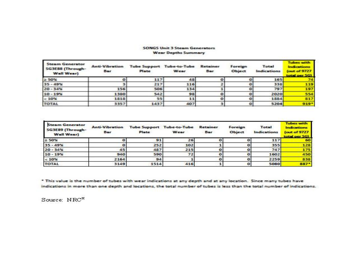#### **SONGS Unit 3 Steam Generators Wear Depths Summary**

| <b>Steam Generator</b><br>SG3E88 (Through-<br>Wall Weart | <b>Anti-Vibration</b><br>Bar | Plate | Tube Support Tube-to-Tube<br><b>Wear</b> | Retainer<br>Bar | Foreign<br><b>Object</b> | Total<br>Indications | Tubes with<br><b>Indications</b><br>lout of 9727<br>total per SGI |
|----------------------------------------------------------|------------------------------|-------|------------------------------------------|-----------------|--------------------------|----------------------|-------------------------------------------------------------------|
| 2.50%                                                    | ۰                            | 117   | 48                                       |                 |                          | 165                  | 74                                                                |
| $35 - 49%$                                               |                              | 217   | 116                                      |                 |                          | 338                  | 119                                                               |
| $20 - 34%$                                               | 156                          | 506   | 134                                      |                 |                          | 797                  | 197                                                               |
| $10 - 19%$                                               | 1380                         | 542   | 98                                       | ٥               |                          | 2020                 | 554                                                               |
| $< 10\%$                                                 | 1818                         | 55    | 11                                       |                 |                          | 1884                 | 817                                                               |
| <b>TOTAL</b>                                             | 3357                         | 1437  | 407                                      |                 |                          | 5204                 | $919*$                                                            |
|                                                          |                              |       |                                          |                 |                          |                      |                                                                   |

| <b>Steam Generator</b><br>SG3E89 (Through-<br>Wall Wear) | <b>Anti-Vibration</b><br>Bar | Plate | <b>Tube Support Tube-to-Tube Retainer</b><br>Wear | Bar | Foreign<br>Object | Total<br>Indications | <b>Tubes with</b><br><b>Indications</b><br>fout of 9727<br>total per SGI |
|----------------------------------------------------------|------------------------------|-------|---------------------------------------------------|-----|-------------------|----------------------|--------------------------------------------------------------------------|
| $\geq 50\%$                                              |                              | 91    | 26                                                |     |                   | 117                  | 60                                                                       |
| $35 - 49%$                                               | $\circ$                      | 252   | 102                                               |     |                   | 355                  | 128                                                                      |
| $20 - 34%$                                               | 45                           | 487   | 215                                               |     |                   | 747                  | 175                                                                      |
| $10 - 19%$                                               | 940                          | 590   | 72                                                |     |                   | 1602                 | 450                                                                      |
| < 10%                                                    | 2164                         | 94    |                                                   |     |                   | 2259                 | 838                                                                      |
| <b>TOTAL</b>                                             | 3149                         | 1514  | 416                                               |     |                   | 5080                 | <b>887*</b>                                                              |

\* This value is the number of tubes with wear indications at any depth and at any location. Since many tubes have indications in more than one depth and locations, the total number of tubes is less than the total number of indications.

Source: NRC<sup>x</sup>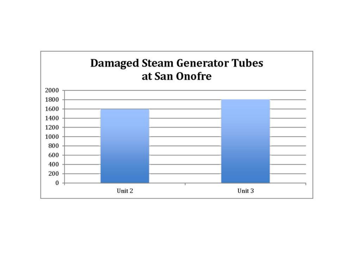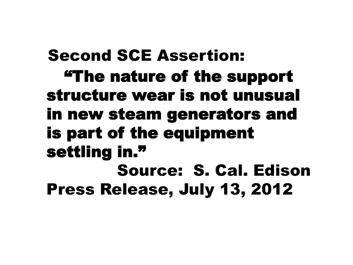### "The nature of the support structure wear is not unusual in new steam generators and is part of the equipment settling in." Source: S. Cal. Edison Press Release, July 13, 2012 Second SCE Assertion: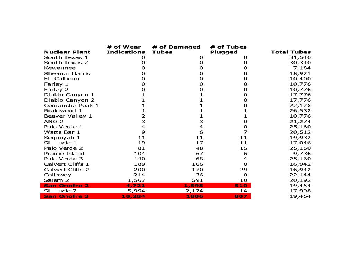|                       | # of Wear          | # of Damaged | # of Tubes |                    |
|-----------------------|--------------------|--------------|------------|--------------------|
| <b>Nuclear Plant</b>  | <b>Indications</b> | <b>Tubes</b> | Plugged    | <b>Total Tubes</b> |
| South Texas 1         | о                  | о            | о          | 31,540             |
| South Texas 2         | 0                  | о            | о          | 30,340             |
| Kewaunee              | о                  | 0            | $\Omega$   | 7,184              |
| <b>Shearon Harris</b> | O                  | о            | O          | 18,921             |
| Ft. Calhoun           | 0                  | O            | O          | 10,400             |
| Farley 1              | 0                  | 0            | o          | 10,776             |
| Farley 2              | 0                  | 0            | O          | 10,776             |
| Diablo Canyon 1       |                    |              | о          | 17,776             |
| Diablo Canyon 2       |                    |              | O          | 17,776             |
| Comanche Peak 1       |                    |              | 0          | 22,128             |
| Braidwood 1           |                    |              |            | 26,532             |
| Beaver Valley 1       | $\overline{2}$     |              |            | 10,776             |
| ANO <sub>2</sub>      | 3                  | З            | o          | 21,274             |
| Palo Verde 1          | 4                  | 4            | 0          | 25,160             |
| Watts Bar 1           | 9                  | 6            | 7          | 20,512             |
| Seguoyah 1            | 11                 | 11           | 11         | 19,932             |
| St. Lucie 1           | 19                 | 17           | 11         | 17,046             |
| Palo Verde 2          | 81                 | 48           | 15         | 25,160             |
| Prairie Island        | 104                | 67           | 6          | 9,736              |
| Palo Verde 3          | 140                | 68           | 4          | 25,160             |
| Calvert Cliffs 1      | 189                | 166          | O          | 16,942             |
| Calvert Cliffs 2      | 200                | 170          | 29         | 16,942             |
| Callaway              | 214                | 36           | $\circ$    | 22,144             |
| Salem <sub>2</sub>    | 1,567              | 591          | 10         | 20,192             |
| <b>San Onofre 2</b>   | 4,721              | 1,595        | 510        | 19,454             |
| St. Lucie 2           | 5,994              | 2,174        | 14         | 17,998             |
| <b>San Onofre 3</b>   | 10,284             | 1806         | 807        | 19,454             |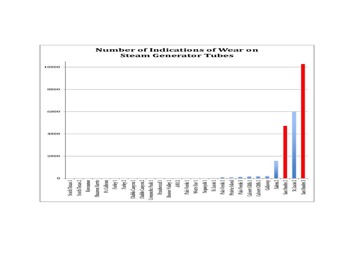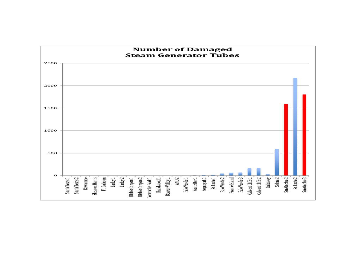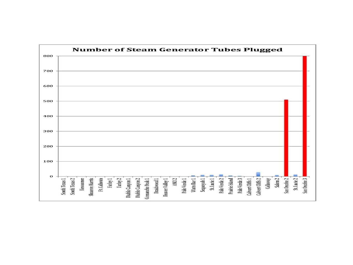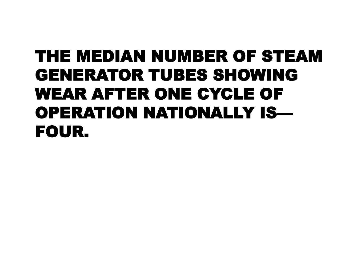### THE MEDIAN NUMBER OF STEAM GENERATOR TUBES SHOWING WEAR AFTER ONE CYCLE OF OPERATION NATIONALLY IS— FOUR.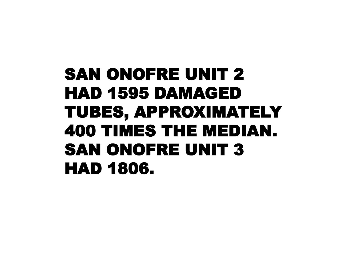#### SAN ONOFRE UNIT 2 HAD 1595 DAMAGED TUBES, APPROXIMATELY 400 TIMES THE MEDIAN. SAN ONOFRE UNIT 3 HAD 1806.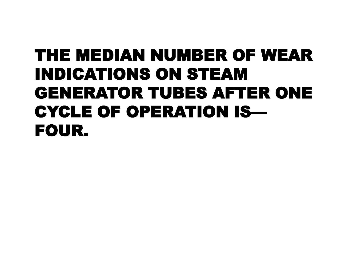### THE MEDIAN NUMBER OF WEAR INDICATIONS ON STEAM GENERATOR TUBES AFTER ONE CYCLE OF OPERATION IS— FOUR.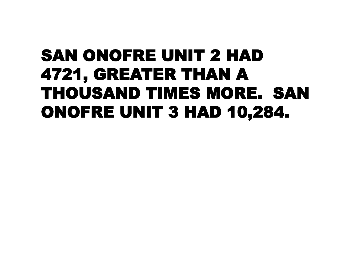### SAN ONOFRE UNIT 2 HAD 4721, GREATER THAN A THOUSAND TIMES MORE. SAN ONOFRE UNIT 3 HAD 10,284.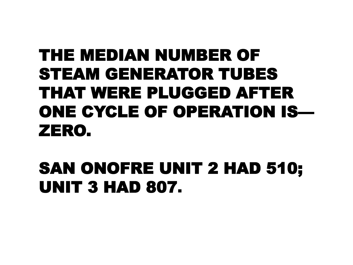### THE MEDIAN NUMBER OF STEAM GENERATOR TUBES THAT WERE PLUGGED AFTER ONE CYCLE OF OPERATION IS— ZERO.

### SAN ONOFRE UNIT 2 HAD 510; UNIT 3 HAD 807.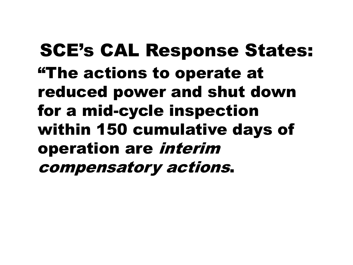## SCE's CAL Response States: "The actions to operate at reduced power and shut down for a mid-cycle inspection within 150 cumulative days of operation are interim compensatory actions.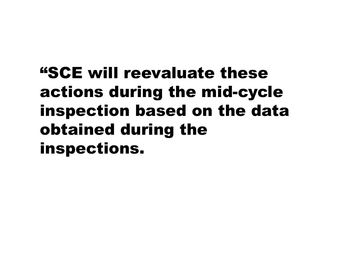#### "SCE will reevaluate these actions during the mid-cycle inspection based on the data obtained during the inspections.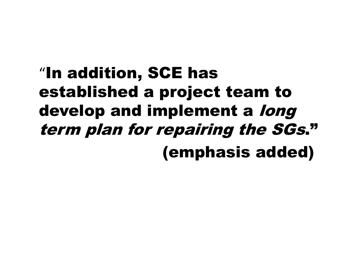## "In addition, SCE has established a project team to develop and implement a long term plan for repairing the SGs." (emphasis added)